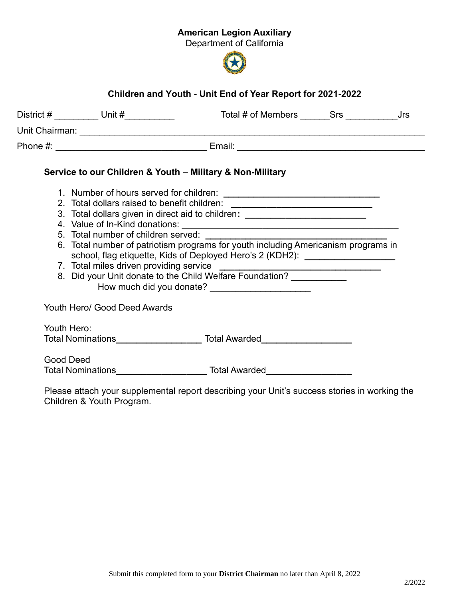## American Legion Auxiliary

Department of California



## Children and Youth - Unit End of Year Report for 2021-2022

| Service to our Children & Youth - Military & Non-Military                                                         |
|-------------------------------------------------------------------------------------------------------------------|
|                                                                                                                   |
| 2. Total dollars raised to benefit children: ___________________________________                                  |
| 3. Total dollars given in direct aid to children: ______________________________                                  |
|                                                                                                                   |
|                                                                                                                   |
| school, flag etiquette, Kids of Deployed Hero's 2 (KDH2):                                                         |
| 7. Total miles driven providing service<br>8. Did your Unit donate to the Child Welfare Foundation? _____________ |
|                                                                                                                   |

Total Nominations\_\_\_\_\_\_\_\_\_\_\_\_\_\_\_\_\_ Total Awarded\_\_\_\_\_\_\_\_\_\_\_\_\_\_\_\_\_\_

Good Deed Total Nominations\_\_\_\_\_\_\_\_\_\_\_\_\_\_\_\_\_\_ Total Awarded\_\_\_\_\_\_\_\_\_\_\_\_\_\_\_\_\_

Please attach your supplemental report describing your Unit's success stories in working the Children & Youth Program.